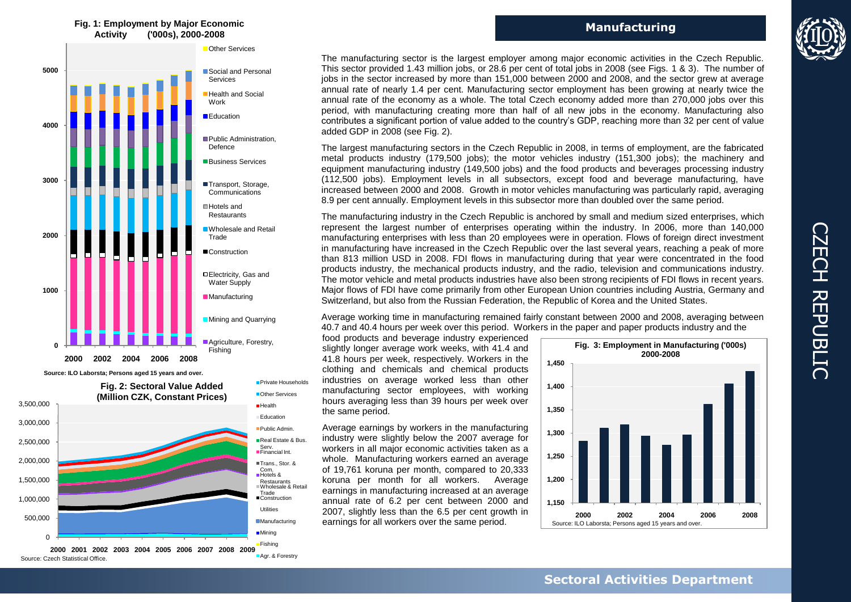## **Fig. 1: Employment by Major Economic Activity ('000s), 2000-2008**



**Source: ILO Laborsta; Persons aged 15 years and over.** 



**2000 2001 2002 2003 2004 2005 2006 2007 2008 2009** Source: Czech Statistical Office. **Manufacturing**



The manufacturing sector is the largest employer among major economic activities in the Czech Republic. This sector provided 1.43 million jobs, or 28.6 per cent of total jobs in 2008 (see Figs. 1 & 3). The number of jobs in the sector increased by more than 151,000 between 2000 and 2008, and the sector grew at average annual rate of nearly 1.4 per cent. Manufacturing sector employment has been growing at nearly twice the annual rate of the economy as a whole. The total Czech economy added more than 270,000 jobs over this period, with manufacturing creating more than half of all new jobs in the economy. Manufacturing also contributes a significant portion of value added to the country's GDP, reaching more than 32 per cent of value added GDP in 2008 (see Fig. 2).

The largest manufacturing sectors in the Czech Republic in 2008, in terms of employment, are the fabricated metal products industry (179,500 jobs); the motor vehicles industry (151,300 jobs); the machinery and equipment manufacturing industry (149,500 jobs) and the food products and beverages processing industry (112,500 jobs). Employment levels in all subsectors, except food and beverage manufacturing, have increased between 2000 and 2008. Growth in motor vehicles manufacturing was particularly rapid, averaging 8.9 per cent annually. Employment levels in this subsector more than doubled over the same period.

The manufacturing industry in the Czech Republic is anchored by small and medium sized enterprises, which represent the largest number of enterprises operating within the industry. In 2006, more than 140,000 manufacturing enterprises with less than 20 employees were in operation. Flows of foreign direct investment in manufacturing have increased in the Czech Republic over the last several years, reaching a peak of more than 813 million USD in 2008. FDI flows in manufacturing during that year were concentrated in the food products industry, the mechanical products industry, and the radio, television and communications industry. The motor vehicle and metal products industries have also been strong recipients of FDI flows in recent years. Major flows of FDI have come primarily from other European Union countries including Austria, Germany and Switzerland, but also from the Russian Federation, the Republic of Korea and the United States.

Average working time in manufacturing remained fairly constant between 2000 and 2008, averaging between 40.7 and 40.4 hours per week over this period. Workers in the paper and paper products industry and the

food products and beverage industry experienced slightly longer average work weeks, with 41.4 and 41.8 hours per week, respectively. Workers in the clothing and chemicals and chemical products industries on average worked less than other manufacturing sector employees, with working hours averaging less than 39 hours per week over the same period.

Average earnings by workers in the manufacturing industry were slightly below the 2007 average for workers in all major economic activities taken as a whole. Manufacturing workers earned an average of 19,761 koruna per month, compared to 20,333 koruna per month for all workers. Average earnings in manufacturing increased at an average annual rate of 6.2 per cent between 2000 and 2007, slightly less than the 6.5 per cent growth in earnings for all workers over the same period.

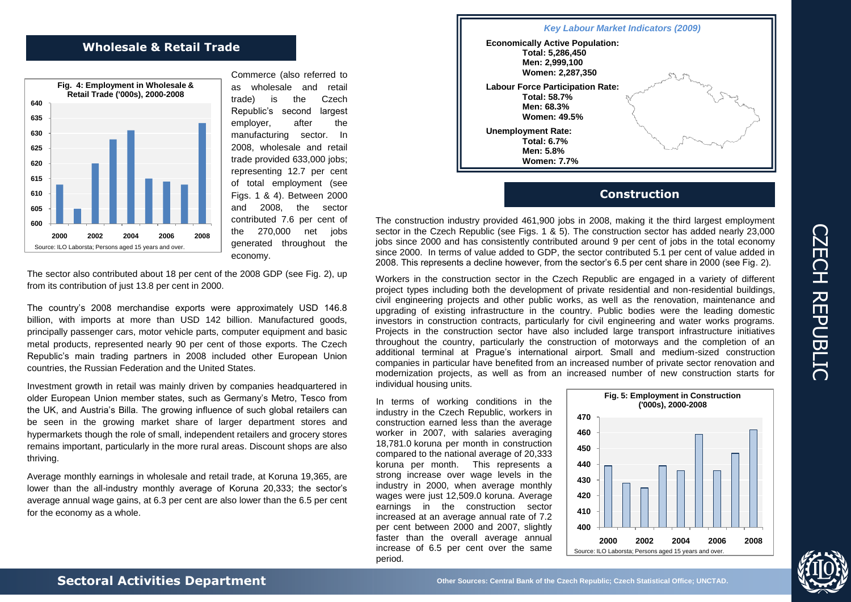## **Wholesale & Retail Trade**



Commerce (also referred to as wholesale and retail trade) is the Czech Republic's second largest employer, after the manufacturing sector. In 2008, wholesale and retail trade provided 633,000 jobs; representing 12.7 per cent of total employment (see Figs. 1 & 4). Between 2000 and 2008, the sector contributed 7.6 per cent of the 270,000 net jobs generated throughout the economy.

The sector also contributed about 18 per cent of the 2008 GDP (see Fig. 2), up from its contribution of just 13.8 per cent in 2000.

The country's 2008 merchandise exports were approximately USD 146.8 billion, with imports at more than USD 142 billion. Manufactured goods, principally passenger cars, motor vehicle parts, computer equipment and basic metal products, represented nearly 90 per cent of those exports. The Czech Republic's main trading partners in 2008 included other European Union countries, the Russian Federation and the United States.

Investment growth in retail was mainly driven by companies headquartered in older European Union member states, such as Germany's Metro, Tesco from the UK, and Austria's Billa. The growing influence of such global retailers can be seen in the growing market share of larger department stores and hypermarkets though the role of small, independent retailers and grocery stores remains important, particularly in the more rural areas. Discount shops are also thriving.

Average monthly earnings in wholesale and retail trade, at Koruna 19,365, are lower than the all-industry monthly average of Koruna 20,333; the sector's average annual wage gains, at 6.3 per cent are also lower than the 6.5 per cent for the economy as a whole.



## **Construction**

The construction industry provided 461,900 jobs in 2008, making it the third largest employment sector in the Czech Republic (see Figs. 1 & 5). The construction sector has added nearly 23,000 jobs since 2000 and has consistently contributed around 9 per cent of jobs in the total economy since 2000. In terms of value added to GDP, the sector contributed 5.1 per cent of value added in 2008. This represents a decline however, from the sector's 6.5 per cent share in 2000 (see Fig. 2).

Workers in the construction sector in the Czech Republic are engaged in a variety of different project types including both the development of private residential and non-residential buildings, civil engineering projects and other public works, as well as the renovation, maintenance and upgrading of existing infrastructure in the country. Public bodies were the leading domestic investors in construction contracts, particularly for civil engineering and water works programs. Projects in the construction sector have also included large transport infrastructure initiatives throughout the country, particularly the construction of motorways and the completion of an additional terminal at Prague's international airport. Small and medium-sized construction companies in particular have benefited from an increased number of private sector renovation and modernization projects, as well as from an increased number of new construction starts for individual housing units.

In terms of working conditions in the industry in the Czech Republic, workers in construction earned less than the average worker in 2007, with salaries averaging 18,781.0 koruna per month in construction compared to the national average of 20,333 koruna per month. This represents a strong increase over wage levels in the industry in 2000, when average monthly wages were just 12,509.0 koruna. Average earnings in the construction sector increased at an average annual rate of 7.2 per cent between 2000 and 2007, slightly faster than the overall average annual increase of 6.5 per cent over the same period.

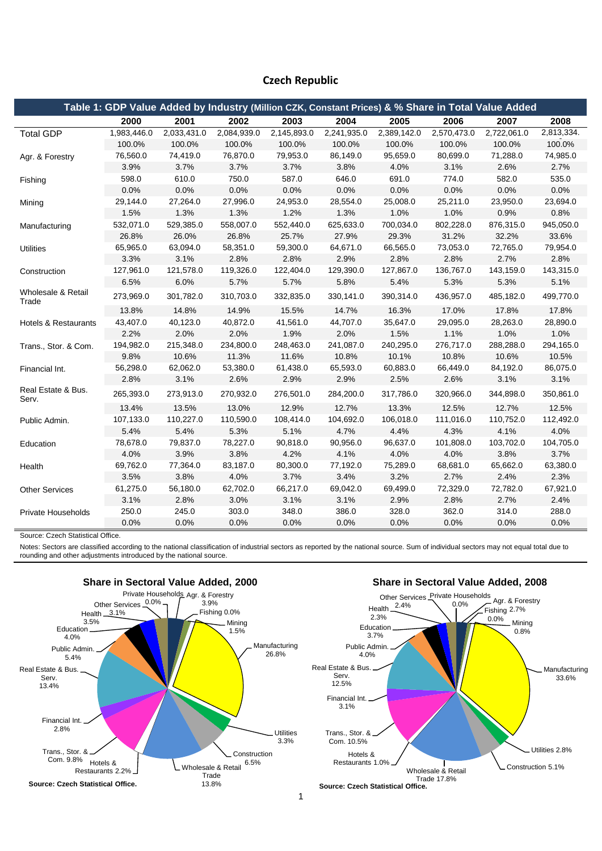## **Czech Republic**

| Table 1: GDP Value Added by Industry (Million CZK, Constant Prices) & % Share in Total Value Added |             |             |             |             |             |             |             |             |            |  |  |
|----------------------------------------------------------------------------------------------------|-------------|-------------|-------------|-------------|-------------|-------------|-------------|-------------|------------|--|--|
|                                                                                                    | 2000        | 2001        | 2002        | 2003        | 2004        | 2005        | 2006        | 2007        | 2008       |  |  |
| <b>Total GDP</b>                                                                                   | 1,983,446.0 | 2,033,431.0 | 2,084,939.0 | 2,145,893.0 | 2,241,935.0 | 2,389,142.0 | 2,570,473.0 | 2,722,061.0 | 2,813,334. |  |  |
|                                                                                                    | 100.0%      | 100.0%      | 100.0%      | 100.0%      | 100.0%      | 100.0%      | 100.0%      | 100.0%      | 100.0%     |  |  |
| Agr. & Forestry                                                                                    | 76,560.0    | 74,419.0    | 76,870.0    | 79,953.0    | 86,149.0    | 95,659.0    | 80,699.0    | 71,288.0    | 74,985.0   |  |  |
|                                                                                                    | 3.9%        | 3.7%        | 3.7%        | 3.7%        | 3.8%        | 4.0%        | 3.1%        | 2.6%        | 2.7%       |  |  |
| Fishing                                                                                            | 598.0       | 610.0       | 750.0       | 587.0       | 646.0       | 691.0       | 774.0       | 582.0       | 535.0      |  |  |
|                                                                                                    | 0.0%        | 0.0%        | 0.0%        | 0.0%        | 0.0%        | 0.0%        | 0.0%        | 0.0%        | 0.0%       |  |  |
| Mining                                                                                             | 29,144.0    | 27,264.0    | 27,996.0    | 24,953.0    | 28,554.0    | 25,008.0    | 25,211.0    | 23,950.0    | 23,694.0   |  |  |
|                                                                                                    | 1.5%        | 1.3%        | 1.3%        | 1.2%        | 1.3%        | 1.0%        | 1.0%        | 0.9%        | 0.8%       |  |  |
| Manufacturing                                                                                      | 532,071.0   | 529,385.0   | 558,007.0   | 552,440.0   | 625,633.0   | 700,034.0   | 802,228.0   | 876,315.0   | 945,050.0  |  |  |
|                                                                                                    | 26.8%       | 26.0%       | 26.8%       | 25.7%       | 27.9%       | 29.3%       | 31.2%       | 32.2%       | 33.6%      |  |  |
| Utilities                                                                                          | 65,965.0    | 63,094.0    | 58,351.0    | 59,300.0    | 64,671.0    | 66,565.0    | 73,053.0    | 72,765.0    | 79,954.0   |  |  |
|                                                                                                    | 3.3%        | 3.1%        | 2.8%        | 2.8%        | 2.9%        | 2.8%        | 2.8%        | 2.7%        | 2.8%       |  |  |
| Construction                                                                                       | 127,961.0   | 121,578.0   | 119,326.0   | 122,404.0   | 129,390.0   | 127,867.0   | 136,767.0   | 143,159.0   | 143,315.0  |  |  |
|                                                                                                    | 6.5%        | 6.0%        | 5.7%        | 5.7%        | 5.8%        | 5.4%        | 5.3%        | 5.3%        | 5.1%       |  |  |
| Wholesale & Retail<br>Trade                                                                        | 273,969.0   | 301,782.0   | 310,703.0   | 332,835.0   | 330,141.0   | 390,314.0   | 436,957.0   | 485,182.0   | 499,770.0  |  |  |
|                                                                                                    | 13.8%       | 14.8%       | 14.9%       | 15.5%       | 14.7%       | 16.3%       | 17.0%       | 17.8%       | 17.8%      |  |  |
| <b>Hotels &amp; Restaurants</b>                                                                    | 43,407.0    | 40,123.0    | 40,872.0    | 41,561.0    | 44,707.0    | 35,647.0    | 29,095.0    | 28,263.0    | 28,890.0   |  |  |
|                                                                                                    | 2.2%        | 2.0%        | 2.0%        | 1.9%        | 2.0%        | 1.5%        | 1.1%        | 1.0%        | 1.0%       |  |  |
| Trans., Stor. & Com.                                                                               | 194,982.0   | 215,348.0   | 234,800.0   | 248,463.0   | 241,087.0   | 240,295.0   | 276,717.0   | 288,288.0   | 294,165.0  |  |  |
|                                                                                                    | 9.8%        | 10.6%       | 11.3%       | 11.6%       | 10.8%       | 10.1%       | 10.8%       | 10.6%       | 10.5%      |  |  |
| Financial Int.                                                                                     | 56,298.0    | 62,062.0    | 53,380.0    | 61,438.0    | 65,593.0    | 60,883.0    | 66,449.0    | 84,192.0    | 86,075.0   |  |  |
|                                                                                                    | 2.8%        | 3.1%        | 2.6%        | 2.9%        | 2.9%        | 2.5%        | 2.6%        | 3.1%        | 3.1%       |  |  |
| Real Estate & Bus.<br>Serv.                                                                        | 265,393.0   | 273,913.0   | 270,932.0   | 276,501.0   | 284,200.0   | 317,786.0   | 320,966.0   | 344,898.0   | 350,861.0  |  |  |
|                                                                                                    | 13.4%       | 13.5%       | 13.0%       | 12.9%       | 12.7%       | 13.3%       | 12.5%       | 12.7%       | 12.5%      |  |  |
| Public Admin.                                                                                      | 107,133.0   | 110,227.0   | 110.590.0   | 108.414.0   | 104.692.0   | 106.018.0   | 111,016.0   | 110,752.0   | 112,492.0  |  |  |
|                                                                                                    | 5.4%        | 5.4%        | 5.3%        | 5.1%        | 4.7%        | 4.4%        | 4.3%        | 4.1%        | 4.0%       |  |  |
| Education                                                                                          | 78,678.0    | 79,837.0    | 78,227.0    | 90,818.0    | 90,956.0    | 96,637.0    | 101,808.0   | 103,702.0   | 104,705.0  |  |  |
|                                                                                                    | 4.0%        | 3.9%        | 3.8%        | 4.2%        | 4.1%        | 4.0%        | 4.0%        | 3.8%        | 3.7%       |  |  |
| Health                                                                                             | 69,762.0    | 77,364.0    | 83,187.0    | 80,300.0    | 77,192.0    | 75,289.0    | 68,681.0    | 65,662.0    | 63,380.0   |  |  |
|                                                                                                    | 3.5%        | 3.8%        | 4.0%        | 3.7%        | 3.4%        | 3.2%        | 2.7%        | 2.4%        | 2.3%       |  |  |
| <b>Other Services</b>                                                                              | 61,275.0    | 56,180.0    | 62.702.0    | 66.217.0    | 69,042.0    | 69,499.0    | 72,329.0    | 72.782.0    | 67,921.0   |  |  |
|                                                                                                    | 3.1%        | 2.8%        | 3.0%        | 3.1%        | 3.1%        | 2.9%        | 2.8%        | 2.7%        | 2.4%       |  |  |
| <b>Private Households</b>                                                                          | 250.0       | 245.0       | 303.0       | 348.0       | 386.0       | 328.0       | 362.0       | 314.0       | 288.0      |  |  |
|                                                                                                    | 0.0%        | 0.0%        | 0.0%        | $0.0\%$     | 0.0%        | 0.0%        | 0.0%        | 0.0%        | 0.0%       |  |  |

Source: Czech Statistical Office.

Notes: Sectors are classified according to the national classification of industrial sectors as reported by the national source. Sum of individual sectors may not equal total due to rounding and other adjustments introduced by the national source.





0.0%

Fishing  $2.7\%$ <br>0.0% Minix . Mining 0.8%

33.6%

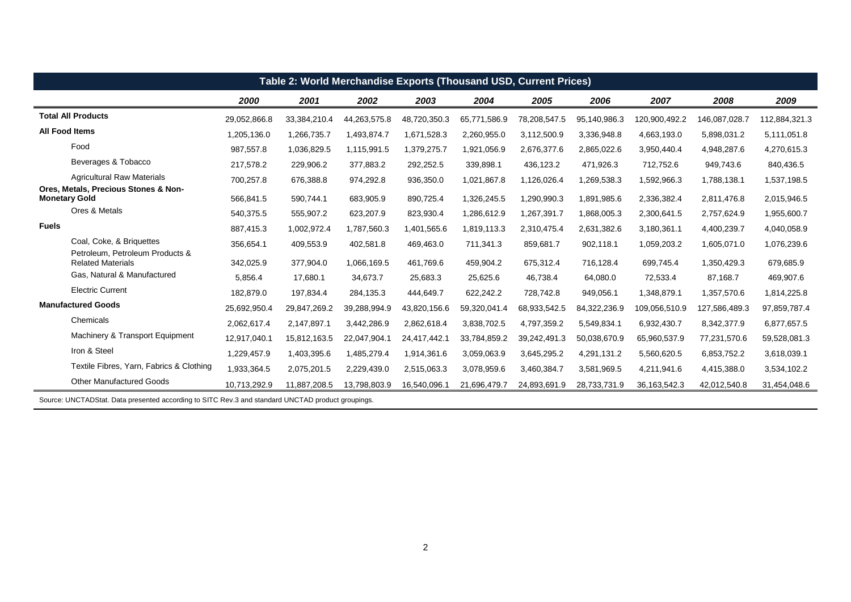|              | Table 2: World Merchandise Exports (Thousand USD, Current Prices)                                 |              |              |              |              |              |              |              |                 |               |               |  |  |
|--------------|---------------------------------------------------------------------------------------------------|--------------|--------------|--------------|--------------|--------------|--------------|--------------|-----------------|---------------|---------------|--|--|
|              |                                                                                                   | 2000         | 2001         | 2002         | 2003         | 2004         | 2005         | 2006         | 2007            | 2008          | 2009          |  |  |
|              | <b>Total All Products</b>                                                                         | 29,052,866.8 | 33,384,210.4 | 44,263,575.8 | 48,720,350.3 | 65,771,586.9 | 78,208,547.5 | 95,140,986.3 | 120,900,492.2   | 146,087,028.7 | 112,884,321.3 |  |  |
|              | <b>All Food Items</b>                                                                             | 1,205,136.0  | 1,266,735.7  | 1,493,874.7  | 1,671,528.3  | 2,260,955.0  | 3,112,500.9  | 3,336,948.8  | 4,663,193.0     | 5,898,031.2   | 5,111,051.8   |  |  |
|              | Food                                                                                              | 987,557.8    | 1,036,829.5  | 1,115,991.5  | 1,379,275.7  | 1,921,056.9  | 2,676,377.6  | 2,865,022.6  | 3,950,440.4     | 4,948,287.6   | 4,270,615.3   |  |  |
|              | Beverages & Tobacco                                                                               | 217,578.2    | 229,906.2    | 377,883.2    | 292,252.5    | 339,898.1    | 436,123.2    | 471,926.3    | 712,752.6       | 949,743.6     | 840,436.5     |  |  |
|              | <b>Agricultural Raw Materials</b>                                                                 | 700,257.8    | 676,388.8    | 974,292.8    | 936,350.0    | 1,021,867.8  | 1,126,026.4  | 1,269,538.3  | 1,592,966.3     | 1,788,138.1   | 1,537,198.5   |  |  |
|              | Ores, Metals, Precious Stones & Non-<br><b>Monetary Gold</b>                                      | 566,841.5    | 590,744.1    | 683,905.9    | 890,725.4    | 1,326,245.5  | 1,290,990.3  | 1,891,985.6  | 2,336,382.4     | 2,811,476.8   | 2,015,946.5   |  |  |
|              | Ores & Metals                                                                                     | 540,375.5    | 555,907.2    | 623,207.9    | 823,930.4    | 1,286,612.9  | 1,267,391.7  | 1,868,005.3  | 2,300,641.5     | 2,757,624.9   | 1,955,600.7   |  |  |
| <b>Fuels</b> |                                                                                                   | 887,415.3    | 1,002,972.4  | 1,787,560.3  | 1,401,565.6  | 1,819,113.3  | 2,310,475.4  | 2,631,382.6  | 3,180,361.1     | 4,400,239.7   | 4,040,058.9   |  |  |
|              | Coal, Coke, & Briquettes                                                                          | 356,654.1    | 409,553.9    | 402,581.8    | 469,463.0    | 711,341.3    | 859,681.7    | 902,118.1    | 1,059,203.2     | 1,605,071.0   | 1,076,239.6   |  |  |
|              | Petroleum, Petroleum Products &<br><b>Related Materials</b>                                       | 342,025.9    | 377,904.0    | 1,066,169.5  | 461,769.6    | 459,904.2    | 675,312.4    | 716,128.4    | 699,745.4       | 1,350,429.3   | 679,685.9     |  |  |
|              | Gas, Natural & Manufactured                                                                       | 5,856.4      | 17.680.1     | 34.673.7     | 25,683.3     | 25,625.6     | 46,738.4     | 64,080.0     | 72,533.4        | 87,168.7      | 469,907.6     |  |  |
|              | <b>Electric Current</b>                                                                           | 182,879.0    | 197,834.4    | 284,135.3    | 444,649.7    | 622,242.2    | 728,742.8    | 949,056.1    | 1,348,879.1     | 1,357,570.6   | 1,814,225.8   |  |  |
|              | <b>Manufactured Goods</b>                                                                         | 25,692,950.4 | 29,847,269.2 | 39,288,994.9 | 43,820,156.6 | 59,320,041.4 | 68,933,542.5 | 84,322,236.9 | 109,056,510.9   | 127,586,489.3 | 97,859,787.4  |  |  |
|              | Chemicals                                                                                         | 2,062,617.4  | 2,147,897.1  | 3,442,286.9  | 2,862,618.4  | 3,838,702.5  | 4,797,359.2  | 5,549,834.1  | 6,932,430.7     | 8,342,377.9   | 6,877,657.5   |  |  |
|              | Machinery & Transport Equipment                                                                   | 12,917,040.1 | 15,812,163.5 | 22,047,904.1 | 24,417,442.1 | 33,784,859.2 | 39,242,491.3 | 50,038,670.9 | 65,960,537.9    | 77,231,570.6  | 59,528,081.3  |  |  |
|              | Iron & Steel                                                                                      | 1,229,457.9  | 1,403,395.6  | 1,485,279.4  | 1,914,361.6  | 3,059,063.9  | 3,645,295.2  | 4,291,131.2  | 5,560,620.5     | 6,853,752.2   | 3,618,039.1   |  |  |
|              | Textile Fibres, Yarn, Fabrics & Clothing                                                          | 1,933,364.5  | 2,075,201.5  | 2,229,439.0  | 2,515,063.3  | 3,078,959.6  | 3,460,384.7  | 3,581,969.5  | 4,211,941.6     | 4,415,388.0   | 3,534,102.2   |  |  |
|              | <b>Other Manufactured Goods</b>                                                                   | 10,713,292.9 | 11,887,208.5 | 13,798,803.9 | 16,540,096.1 | 21,696,479.7 | 24,893,691.9 | 28,733,731.9 | 36, 163, 542. 3 | 42,012,540.8  | 31,454,048.6  |  |  |
|              | Source: UNCTADStat. Data presented according to SITC Rev.3 and standard UNCTAD product groupings. |              |              |              |              |              |              |              |                 |               |               |  |  |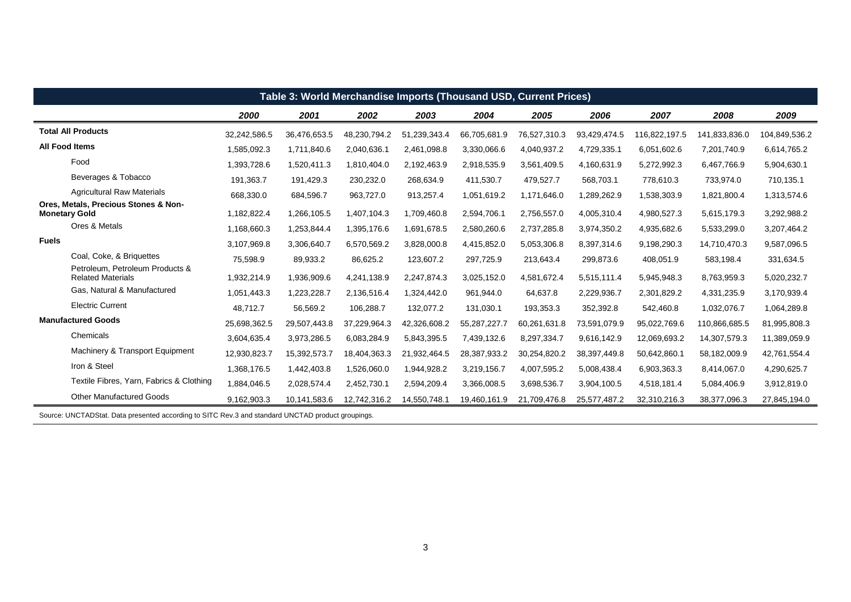| Table 3: World Merchandise Imports (Thousand USD, Current Prices)                                 |              |              |              |              |              |              |              |               |               |               |  |  |
|---------------------------------------------------------------------------------------------------|--------------|--------------|--------------|--------------|--------------|--------------|--------------|---------------|---------------|---------------|--|--|
|                                                                                                   | 2000         | 2001         | 2002         | 2003         | 2004         | 2005         | 2006         | 2007          | 2008          | 2009          |  |  |
| <b>Total All Products</b>                                                                         | 32,242,586.5 | 36,476,653.5 | 48,230,794.2 | 51,239,343.4 | 66,705,681.9 | 76,527,310.3 | 93,429,474.5 | 116,822,197.5 | 141,833,836.0 | 104,849,536.2 |  |  |
| <b>All Food Items</b>                                                                             | 1,585,092.3  | 1,711,840.6  | 2,040,636.1  | 2,461,098.8  | 3,330,066.6  | 4,040,937.2  | 4,729,335.1  | 6,051,602.6   | 7,201,740.9   | 6,614,765.2   |  |  |
| Food                                                                                              | 1,393,728.6  | 1,520,411.3  | 1,810,404.0  | 2,192,463.9  | 2,918,535.9  | 3,561,409.5  | 4,160,631.9  | 5,272,992.3   | 6,467,766.9   | 5,904,630.1   |  |  |
| Beverages & Tobacco                                                                               | 191,363.7    | 191,429.3    | 230,232.0    | 268,634.9    | 411,530.7    | 479,527.7    | 568,703.1    | 778,610.3     | 733,974.0     | 710,135.1     |  |  |
| <b>Agricultural Raw Materials</b>                                                                 | 668,330.0    | 684,596.7    | 963,727.0    | 913,257.4    | 1,051,619.2  | 1,171,646.0  | 1,289,262.9  | 1,538,303.9   | 1,821,800.4   | 1,313,574.6   |  |  |
| Ores, Metals, Precious Stones & Non-<br><b>Monetary Gold</b>                                      | 1,182,822.4  | 1,266,105.5  | 1,407,104.3  | 1,709,460.8  | 2,594,706.1  | 2,756,557.0  | 4,005,310.4  | 4,980,527.3   | 5,615,179.3   | 3,292,988.2   |  |  |
| Ores & Metals                                                                                     | 1,168,660.3  | 1,253,844.4  | 1,395,176.6  | 1,691,678.5  | 2,580,260.6  | 2,737,285.8  | 3,974,350.2  | 4,935,682.6   | 5,533,299.0   | 3,207,464.2   |  |  |
| <b>Fuels</b>                                                                                      | 3,107,969.8  | 3,306,640.7  | 6,570,569.2  | 3,828,000.8  | 4,415,852.0  | 5,053,306.8  | 8,397,314.6  | 9,198,290.3   | 14,710,470.3  | 9,587,096.5   |  |  |
| Coal, Coke, & Briguettes                                                                          | 75,598.9     | 89,933.2     | 86,625.2     | 123,607.2    | 297,725.9    | 213,643.4    | 299,873.6    | 408,051.9     | 583,198.4     | 331,634.5     |  |  |
| Petroleum, Petroleum Products &<br><b>Related Materials</b>                                       | 1,932,214.9  | 1,936,909.6  | 4,241,138.9  | 2,247,874.3  | 3,025,152.0  | 4,581,672.4  | 5,515,111.4  | 5,945,948.3   | 8,763,959.3   | 5,020,232.7   |  |  |
| Gas, Natural & Manufactured                                                                       | 1,051,443.3  | 1,223,228.7  | 2,136,516.4  | 1,324,442.0  | 961,944.0    | 64,637.8     | 2,229,936.7  | 2,301,829.2   | 4,331,235.9   | 3,170,939.4   |  |  |
| <b>Electric Current</b>                                                                           | 48,712.7     | 56,569.2     | 106,288.7    | 132,077.2    | 131,030.1    | 193,353.3    | 352,392.8    | 542,460.8     | 1,032,076.7   | 1,064,289.8   |  |  |
| <b>Manufactured Goods</b>                                                                         | 25,698,362.5 | 29,507,443.8 | 37,229,964.3 | 42,326,608.2 | 55,287,227.7 | 60,261,631.8 | 73,591,079.9 | 95,022,769.6  | 110,866,685.5 | 81,995,808.3  |  |  |
| Chemicals                                                                                         | 3,604,635.4  | 3,973,286.5  | 6,083,284.9  | 5,843,395.5  | 7,439,132.6  | 8,297,334.7  | 9,616,142.9  | 12,069,693.2  | 14,307,579.3  | 11,389,059.9  |  |  |
| Machinery & Transport Equipment                                                                   | 12,930,823.7 | 15,392,573.7 | 18,404,363.3 | 21,932,464.5 | 28,387,933.2 | 30,254,820.2 | 38,397,449.8 | 50,642,860.1  | 58,182,009.9  | 42,761,554.4  |  |  |
| Iron & Steel                                                                                      | 1,368,176.5  | 1,442,403.8  | 1,526,060.0  | 1,944,928.2  | 3,219,156.7  | 4,007,595.2  | 5,008,438.4  | 6,903,363.3   | 8,414,067.0   | 4,290,625.7   |  |  |
| Textile Fibres, Yarn, Fabrics & Clothing                                                          | 1,884,046.5  | 2,028,574.4  | 2,452,730.1  | 2,594,209.4  | 3,366,008.5  | 3,698,536.7  | 3,904,100.5  | 4,518,181.4   | 5,084,406.9   | 3,912,819.0   |  |  |
| <b>Other Manufactured Goods</b>                                                                   | 9,162,903.3  | 10,141,583.6 | 12,742,316.2 | 14,550,748.1 | 19,460,161.9 | 21,709,476.8 | 25,577,487.2 | 32,310,216.3  | 38,377,096.3  | 27,845,194.0  |  |  |
| Source: UNCTADStat. Data presented according to SITC Rev.3 and standard UNCTAD product groupings. |              |              |              |              |              |              |              |               |               |               |  |  |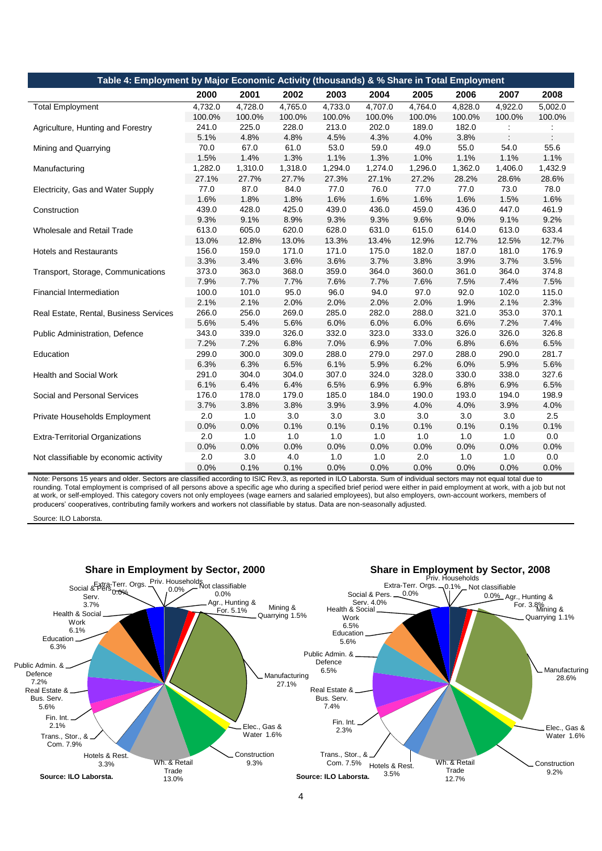| Table 4: Employment by Major Economic Activity (thousands) & % Share in Total Employment |         |         |         |         |         |         |         |         |         |
|------------------------------------------------------------------------------------------|---------|---------|---------|---------|---------|---------|---------|---------|---------|
|                                                                                          | 2000    | 2001    | 2002    | 2003    | 2004    | 2005    | 2006    | 2007    | 2008    |
| <b>Total Employment</b>                                                                  | 4.732.0 | 4,728.0 | 4,765.0 | 4.733.0 | 4.707.0 | 4,764.0 | 4,828.0 | 4,922.0 | 5,002.0 |
|                                                                                          | 100.0%  | 100.0%  | 100.0%  | 100.0%  | 100.0%  | 100.0%  | 100.0%  | 100.0%  | 100.0%  |
| Agriculture, Hunting and Forestry                                                        | 241.0   | 225.0   | 228.0   | 213.0   | 202.0   | 189.0   | 182.0   |         |         |
|                                                                                          | 5.1%    | 4.8%    | 4.8%    | 4.5%    | 4.3%    | 4.0%    | 3.8%    |         |         |
| Mining and Quarrying                                                                     | 70.0    | 67.0    | 61.0    | 53.0    | 59.0    | 49.0    | 55.0    | 54.0    | 55.6    |
|                                                                                          | 1.5%    | 1.4%    | 1.3%    | 1.1%    | 1.3%    | 1.0%    | 1.1%    | 1.1%    | 1.1%    |
| Manufacturing                                                                            | 1,282.0 | 1,310.0 | 1,318.0 | 1,294.0 | 1,274.0 | 1,296.0 | 1,362.0 | 1,406.0 | 1,432.9 |
|                                                                                          | 27.1%   | 27.7%   | 27.7%   | 27.3%   | 27.1%   | 27.2%   | 28.2%   | 28.6%   | 28.6%   |
| Electricity, Gas and Water Supply                                                        | 77.0    | 87.0    | 84.0    | 77.0    | 76.0    | 77.0    | 77.0    | 73.0    | 78.0    |
|                                                                                          | 1.6%    | 1.8%    | 1.8%    | 1.6%    | 1.6%    | 1.6%    | 1.6%    | 1.5%    | 1.6%    |
| Construction                                                                             | 439.0   | 428.0   | 425.0   | 439.0   | 436.0   | 459.0   | 436.0   | 447.0   | 461.9   |
|                                                                                          | 9.3%    | 9.1%    | 8.9%    | 9.3%    | 9.3%    | 9.6%    | 9.0%    | 9.1%    | 9.2%    |
| Wholesale and Retail Trade                                                               | 613.0   | 605.0   | 620.0   | 628.0   | 631.0   | 615.0   | 614.0   | 613.0   | 633.4   |
|                                                                                          | 13.0%   | 12.8%   | 13.0%   | 13.3%   | 13.4%   | 12.9%   | 12.7%   | 12.5%   | 12.7%   |
| <b>Hotels and Restaurants</b>                                                            | 156.0   | 159.0   | 171.0   | 171.0   | 175.0   | 182.0   | 187.0   | 181.0   | 176.9   |
|                                                                                          | 3.3%    | 3.4%    | 3.6%    | 3.6%    | 3.7%    | 3.8%    | 3.9%    | 3.7%    | 3.5%    |
| Transport, Storage, Communications                                                       | 373.0   | 363.0   | 368.0   | 359.0   | 364.0   | 360.0   | 361.0   | 364.0   | 374.8   |
|                                                                                          | 7.9%    | 7.7%    | 7.7%    | 7.6%    | 7.7%    | 7.6%    | 7.5%    | 7.4%    | 7.5%    |
| <b>Financial Intermediation</b>                                                          | 100.0   | 101.0   | 95.0    | 96.0    | 94.0    | 97.0    | 92.0    | 102.0   | 115.0   |
|                                                                                          | 2.1%    | 2.1%    | 2.0%    | 2.0%    | 2.0%    | 2.0%    | 1.9%    | 2.1%    | 2.3%    |
| Real Estate, Rental, Business Services                                                   | 266.0   | 256.0   | 269.0   | 285.0   | 282.0   | 288.0   | 321.0   | 353.0   | 370.1   |
|                                                                                          | 5.6%    | 5.4%    | 5.6%    | 6.0%    | 6.0%    | 6.0%    | 6.6%    | 7.2%    | 7.4%    |
| Public Administration, Defence                                                           | 343.0   | 339.0   | 326.0   | 332.0   | 323.0   | 333.0   | 326.0   | 326.0   | 326.8   |
|                                                                                          | 7.2%    | 7.2%    | 6.8%    | 7.0%    | 6.9%    | 7.0%    | 6.8%    | 6.6%    | 6.5%    |
| Education                                                                                | 299.0   | 300.0   | 309.0   | 288.0   | 279.0   | 297.0   | 288.0   | 290.0   | 281.7   |
|                                                                                          | 6.3%    | 6.3%    | 6.5%    | 6.1%    | 5.9%    | 6.2%    | 6.0%    | 5.9%    | 5.6%    |
| <b>Health and Social Work</b>                                                            | 291.0   | 304.0   | 304.0   | 307.0   | 324.0   | 328.0   | 330.0   | 338.0   | 327.6   |
|                                                                                          | 6.1%    | 6.4%    | 6.4%    | 6.5%    | 6.9%    | 6.9%    | 6.8%    | 6.9%    | 6.5%    |
| Social and Personal Services                                                             | 176.0   | 178.0   | 179.0   | 185.0   | 184.0   | 190.0   | 193.0   | 194.0   | 198.9   |
|                                                                                          | 3.7%    | 3.8%    | 3.8%    | 3.9%    | 3.9%    | 4.0%    | 4.0%    | 3.9%    | 4.0%    |
| Private Households Employment                                                            | 2.0     | 1.0     | 3.0     | 3.0     | 3.0     | 3.0     | 3.0     | 3.0     | 2.5     |
|                                                                                          | 0.0%    | 0.0%    | 0.1%    | 0.1%    | 0.1%    | 0.1%    | 0.1%    | 0.1%    | 0.1%    |
| <b>Extra-Territorial Organizations</b>                                                   | 2.0     | 1.0     | 1.0     | 1.0     | 1.0     | 1.0     | 1.0     | 1.0     | 0.0     |
|                                                                                          | 0.0%    | 0.0%    | 0.0%    | 0.0%    | 0.0%    | 0.0%    | 0.0%    | 0.0%    | 0.0%    |
| Not classifiable by economic activity                                                    | 2.0     | 3.0     | 4.0     | 1.0     | 1.0     | 2.0     | 1.0     | 1.0     | 0.0     |
|                                                                                          | 0.0%    | 0.1%    | 0.1%    | 0.0%    | 0.0%    | 0.0%    | 0.0%    | 0.0%    | 0.0%    |

Note: Persons 15 years and older. Sectors are classified according to ISIC Rev.3, as reported in ILO Laborsta. Sum of individual sectors may not equal total due to rounding. Total employment is comprised of all persons above a specific age who during a specified brief period were either in paid employment at work, with a job but not at work, or self-employed. This category covers not only employees (wage earners and salaried employees), but also employers, own-account workers, members of producers' cooperatives, contributing family workers and workers not classifiable by status. Data are non-seasonally adjusted.

Source: ILO Laborsta.

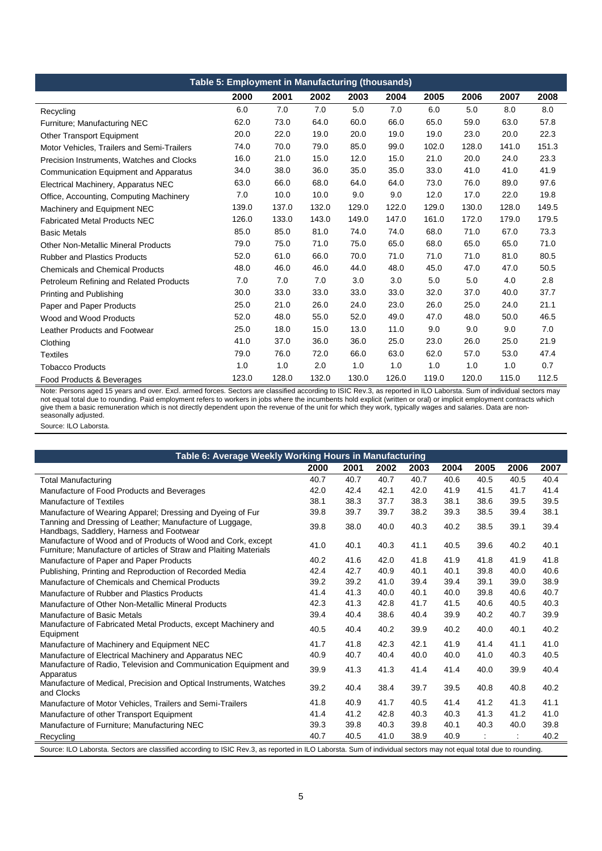| Table 5: Employment in Manufacturing (thousands) |       |       |       |       |       |       |       |       |       |  |  |  |
|--------------------------------------------------|-------|-------|-------|-------|-------|-------|-------|-------|-------|--|--|--|
|                                                  | 2000  | 2001  | 2002  | 2003  | 2004  | 2005  | 2006  | 2007  | 2008  |  |  |  |
| Recycling                                        | 6.0   | 7.0   | 7.0   | 5.0   | 7.0   | 6.0   | 5.0   | 8.0   | 8.0   |  |  |  |
| Furniture: Manufacturing NEC                     | 62.0  | 73.0  | 64.0  | 60.0  | 66.0  | 65.0  | 59.0  | 63.0  | 57.8  |  |  |  |
| <b>Other Transport Equipment</b>                 | 20.0  | 22.0  | 19.0  | 20.0  | 19.0  | 19.0  | 23.0  | 20.0  | 22.3  |  |  |  |
| Motor Vehicles, Trailers and Semi-Trailers       | 74.0  | 70.0  | 79.0  | 85.0  | 99.0  | 102.0 | 128.0 | 141.0 | 151.3 |  |  |  |
| Precision Instruments, Watches and Clocks        | 16.0  | 21.0  | 15.0  | 12.0  | 15.0  | 21.0  | 20.0  | 24.0  | 23.3  |  |  |  |
| Communication Equipment and Apparatus            | 34.0  | 38.0  | 36.0  | 35.0  | 35.0  | 33.0  | 41.0  | 41.0  | 41.9  |  |  |  |
| Electrical Machinery, Apparatus NEC              | 63.0  | 66.0  | 68.0  | 64.0  | 64.0  | 73.0  | 76.0  | 89.0  | 97.6  |  |  |  |
| Office, Accounting, Computing Machinery          | 7.0   | 10.0  | 10.0  | 9.0   | 9.0   | 12.0  | 17.0  | 22.0  | 19.8  |  |  |  |
| Machinery and Equipment NEC                      | 139.0 | 137.0 | 132.0 | 129.0 | 122.0 | 129.0 | 130.0 | 128.0 | 149.5 |  |  |  |
| <b>Fabricated Metal Products NEC</b>             | 126.0 | 133.0 | 143.0 | 149.0 | 147.0 | 161.0 | 172.0 | 179.0 | 179.5 |  |  |  |
| <b>Basic Metals</b>                              | 85.0  | 85.0  | 81.0  | 74.0  | 74.0  | 68.0  | 71.0  | 67.0  | 73.3  |  |  |  |
| <b>Other Non-Metallic Mineral Products</b>       | 79.0  | 75.0  | 71.0  | 75.0  | 65.0  | 68.0  | 65.0  | 65.0  | 71.0  |  |  |  |
| <b>Rubber and Plastics Products</b>              | 52.0  | 61.0  | 66.0  | 70.0  | 71.0  | 71.0  | 71.0  | 81.0  | 80.5  |  |  |  |
| <b>Chemicals and Chemical Products</b>           | 48.0  | 46.0  | 46.0  | 44.0  | 48.0  | 45.0  | 47.0  | 47.0  | 50.5  |  |  |  |
| Petroleum Refining and Related Products          | 7.0   | 7.0   | 7.0   | 3.0   | 3.0   | 5.0   | 5.0   | 4.0   | 2.8   |  |  |  |
| Printing and Publishing                          | 30.0  | 33.0  | 33.0  | 33.0  | 33.0  | 32.0  | 37.0  | 40.0  | 37.7  |  |  |  |
| Paper and Paper Products                         | 25.0  | 21.0  | 26.0  | 24.0  | 23.0  | 26.0  | 25.0  | 24.0  | 21.1  |  |  |  |
| Wood and Wood Products                           | 52.0  | 48.0  | 55.0  | 52.0  | 49.0  | 47.0  | 48.0  | 50.0  | 46.5  |  |  |  |
| Leather Products and Footwear                    | 25.0  | 18.0  | 15.0  | 13.0  | 11.0  | 9.0   | 9.0   | 9.0   | 7.0   |  |  |  |
| Clothing                                         | 41.0  | 37.0  | 36.0  | 36.0  | 25.0  | 23.0  | 26.0  | 25.0  | 21.9  |  |  |  |
| <b>Textiles</b>                                  | 79.0  | 76.0  | 72.0  | 66.0  | 63.0  | 62.0  | 57.0  | 53.0  | 47.4  |  |  |  |
| <b>Tobacco Products</b>                          | 1.0   | 1.0   | 2.0   | 1.0   | 1.0   | 1.0   | 1.0   | 1.0   | 0.7   |  |  |  |
| Food Products & Beverages                        | 123.0 | 128.0 | 132.0 | 130.0 | 126.0 | 119.0 | 120.0 | 115.0 | 112.5 |  |  |  |

Note: Persons aged 15 years and over. Excl. armed forces. Sectors are classified according to ISIC Rev.3, as reported in ILO Laborsta. Sum of individual sectors may not equal total due to rounding. Paid employment refers to workers in jobs where the incumbents hold explicit (written or oral) or implicit employment contracts which give them a basic remuneration which is not directly dependent upon the revenue of the unit for which they work, typically wages and salaries. Data are nonseasonally adjusted.

Source: ILO Laborsta.

| Table 6: Average Weekly Working Hours in Manufacturing                                                                                                            |      |      |      |      |      |      |      |      |  |  |  |
|-------------------------------------------------------------------------------------------------------------------------------------------------------------------|------|------|------|------|------|------|------|------|--|--|--|
|                                                                                                                                                                   | 2000 | 2001 | 2002 | 2003 | 2004 | 2005 | 2006 | 2007 |  |  |  |
| Total Manufacturing                                                                                                                                               | 40.7 | 40.7 | 40.7 | 40.7 | 40.6 | 40.5 | 40.5 | 40.4 |  |  |  |
| Manufacture of Food Products and Beverages                                                                                                                        | 42.0 | 42.4 | 42.1 | 42.0 | 41.9 | 41.5 | 41.7 | 41.4 |  |  |  |
| <b>Manufacture of Textiles</b>                                                                                                                                    | 38.1 | 38.3 | 37.7 | 38.3 | 38.1 | 38.6 | 39.5 | 39.5 |  |  |  |
| Manufacture of Wearing Apparel; Dressing and Dyeing of Fur                                                                                                        | 39.8 | 39.7 | 39.7 | 38.2 | 39.3 | 38.5 | 39.4 | 38.1 |  |  |  |
| Tanning and Dressing of Leather; Manufacture of Luggage,<br>Handbags, Saddlery, Harness and Footwear                                                              | 39.8 | 38.0 | 40.0 | 40.3 | 40.2 | 38.5 | 39.1 | 39.4 |  |  |  |
| Manufacture of Wood and of Products of Wood and Cork, except<br>Furniture; Manufacture of articles of Straw and Plaiting Materials                                | 41.0 | 40.1 | 40.3 | 41.1 | 40.5 | 39.6 | 40.2 | 40.1 |  |  |  |
| Manufacture of Paper and Paper Products                                                                                                                           | 40.2 | 41.6 | 42.0 | 41.8 | 41.9 | 41.8 | 41.9 | 41.8 |  |  |  |
| Publishing, Printing and Reproduction of Recorded Media                                                                                                           | 42.4 | 42.7 | 40.9 | 40.1 | 40.1 | 39.8 | 40.0 | 40.6 |  |  |  |
| Manufacture of Chemicals and Chemical Products                                                                                                                    | 39.2 | 39.2 | 41.0 | 39.4 | 39.4 | 39.1 | 39.0 | 38.9 |  |  |  |
| Manufacture of Rubber and Plastics Products                                                                                                                       | 41.4 | 41.3 | 40.0 | 40.1 | 40.0 | 39.8 | 40.6 | 40.7 |  |  |  |
| Manufacture of Other Non-Metallic Mineral Products                                                                                                                | 42.3 | 41.3 | 42.8 | 41.7 | 41.5 | 40.6 | 40.5 | 40.3 |  |  |  |
| Manufacture of Basic Metals                                                                                                                                       | 39.4 | 40.4 | 38.6 | 40.4 | 39.9 | 40.2 | 40.7 | 39.9 |  |  |  |
| Manufacture of Fabricated Metal Products, except Machinery and<br>Equipment                                                                                       | 40.5 | 40.4 | 40.2 | 39.9 | 40.2 | 40.0 | 40.1 | 40.2 |  |  |  |
| Manufacture of Machinery and Equipment NEC                                                                                                                        | 41.7 | 41.8 | 42.3 | 42.1 | 41.9 | 41.4 | 41.1 | 41.0 |  |  |  |
| Manufacture of Electrical Machinery and Apparatus NEC                                                                                                             | 40.9 | 40.7 | 40.4 | 40.0 | 40.0 | 41.0 | 40.3 | 40.5 |  |  |  |
| Manufacture of Radio, Television and Communication Equipment and<br>Apparatus                                                                                     | 39.9 | 41.3 | 41.3 | 41.4 | 41.4 | 40.0 | 39.9 | 40.4 |  |  |  |
| Manufacture of Medical, Precision and Optical Instruments, Watches<br>and Clocks                                                                                  | 39.2 | 40.4 | 38.4 | 39.7 | 39.5 | 40.8 | 40.8 | 40.2 |  |  |  |
| Manufacture of Motor Vehicles, Trailers and Semi-Trailers                                                                                                         | 41.8 | 40.9 | 41.7 | 40.5 | 41.4 | 41.2 | 41.3 | 41.1 |  |  |  |
| Manufacture of other Transport Equipment                                                                                                                          | 41.4 | 41.2 | 42.8 | 40.3 | 40.3 | 41.3 | 41.2 | 41.0 |  |  |  |
| Manufacture of Furniture; Manufacturing NEC                                                                                                                       | 39.3 | 39.8 | 40.3 | 39.8 | 40.1 | 40.3 | 40.0 | 39.8 |  |  |  |
| Recycling                                                                                                                                                         | 40.7 | 40.5 | 41.0 | 38.9 | 40.9 |      |      | 40.2 |  |  |  |
| Source: ILO Laborsta. Sectors are classified according to ISIC Rev.3, as reported in ILO Laborsta. Sum of individual sectors may not equal total due to rounding. |      |      |      |      |      |      |      |      |  |  |  |